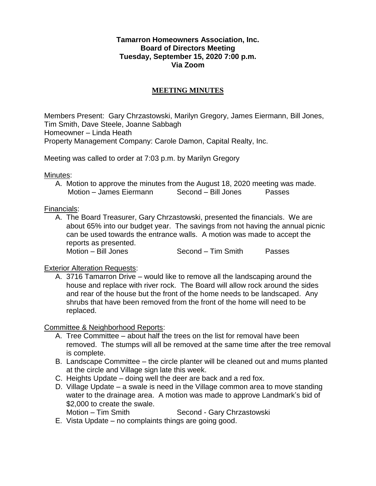## **Tamarron Homeowners Association, Inc. Board of Directors Meeting Tuesday, September 15, 2020 7:00 p.m. Via Zoom**

# **MEETING MINUTES**

Members Present: Gary Chrzastowski, Marilyn Gregory, James Eiermann, Bill Jones, Tim Smith, Dave Steele, Joanne Sabbagh Homeowner – Linda Heath Property Management Company: Carole Damon, Capital Realty, Inc.

Meeting was called to order at 7:03 p.m. by Marilyn Gregory

Minutes:

A. Motion to approve the minutes from the August 18, 2020 meeting was made. Motion – James Eiermann Second – Bill Jones Passes

Financials:

A. The Board Treasurer, Gary Chrzastowski, presented the financials. We are about 65% into our budget year. The savings from not having the annual picnic can be used towards the entrance walls. A motion was made to accept the reports as presented. Motion – Bill Jones Second – Tim Smith Passes

# Exterior Alteration Requests:

A. 3716 Tamarron Drive – would like to remove all the landscaping around the house and replace with river rock. The Board will allow rock around the sides and rear of the house but the front of the home needs to be landscaped. Any shrubs that have been removed from the front of the home will need to be replaced.

Committee & Neighborhood Reports:

- A. Tree Committee about half the trees on the list for removal have been removed. The stumps will all be removed at the same time after the tree removal is complete.
- B. Landscape Committee the circle planter will be cleaned out and mums planted at the circle and Village sign late this week.
- C. Heights Update doing well the deer are back and a red fox.
- D. Village Update a swale is need in the Village common area to move standing water to the drainage area. A motion was made to approve Landmark's bid of \$2,000 to create the swale. Motion – Tim Smith Second - Gary Chrzastowski
- E. Vista Update no complaints things are going good.